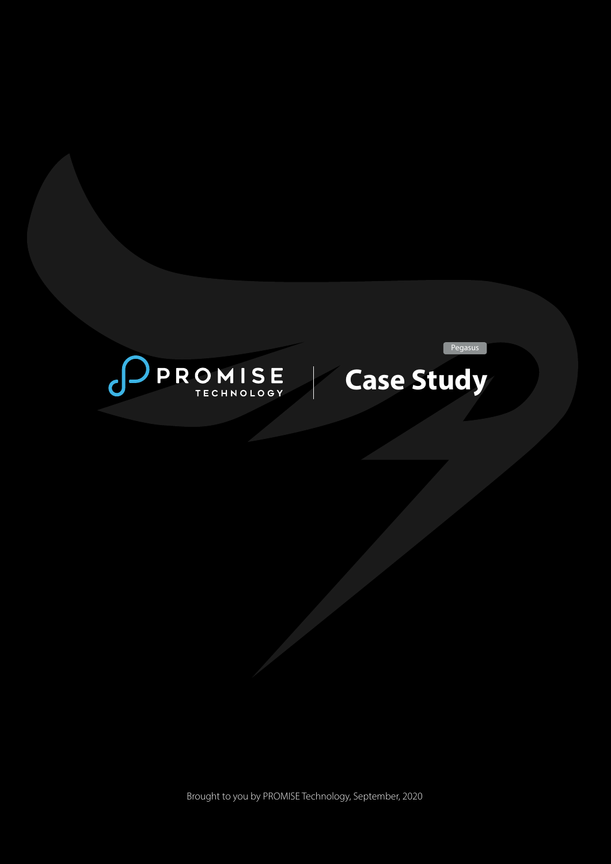



Pegasus

Brought to you by PROMISE Technology, September, 2020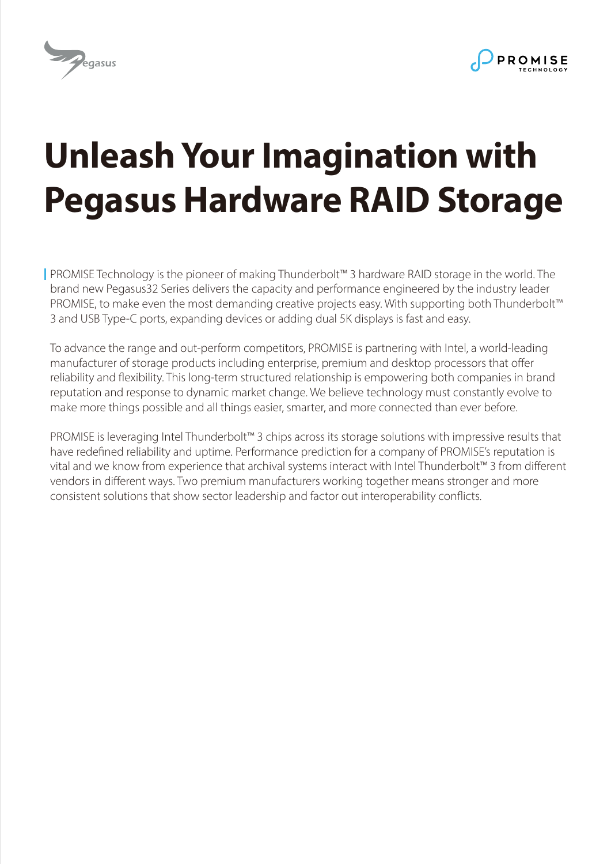



# **Unleash Your Imagination with Pegasus Hardware RAID Storage**

PROMISE Technology is the pioneer of making Thunderbolt™ 3 hardware RAID storage in the world. The brand new Pegasus32 Series delivers the capacity and performance engineered by the industry leader PROMISE, to make even the most demanding creative projects easy. With supporting both Thunderbolt™ 3 and USB Type-C ports, expanding devices or adding dual 5K displays is fast and easy.

To advance the range and out-perform competitors, PROMISE is partnering with Intel, a world-leading manufacturer of storage products including enterprise, premium and desktop processors that offer reliability and flexibility. This long-term structured relationship is empowering both companies in brand reputation and response to dynamic market change. We believe technology must constantly evolve to make more things possible and all things easier, smarter, and more connected than ever before.

PROMISE is leveraging Intel Thunderbolt™ 3 chips across its storage solutions with impressive results that have redefined reliability and uptime. Performance prediction for a company of PROMISE's reputation is vital and we know from experience that archival systems interact with Intel Thunderbolt™ 3 from different vendors in different ways. Two premium manufacturers working together means stronger and more consistent solutions that show sector leadership and factor out interoperability conflicts.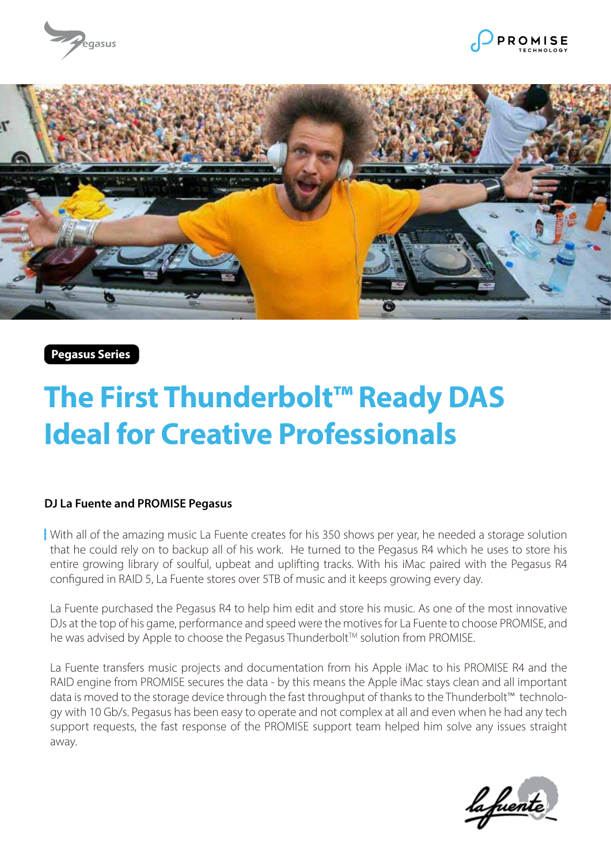





**Pegasus Series**

# **The First Thunderbolt™ Ready DAS Ideal for Creative Professionals**

### **DJ La Fuente and PROMISE Pegasus**

With all of the amazing music La Fuente creates for his 350 shows per year, he needed a storage solution that he could rely on to backup all of his work. He turned to the Pegasus R4 which he uses to store his entire growing library of soulful, upbeat and uplifting tracks. With his iMac paired with the Pegasus R4 configured in RAID 5, La Fuente stores over 5TB of music and it keeps growing every day.

La Fuente purchased the Pegasus R4 to help him edit and store his music. As one of the most innovative DJs at the top of his game, performance and speed were the motives for La Fuente to choose PROMISE, and he was advised by Apple to choose the Pegasus Thunderbolt<sup>TM</sup> solution from PROMISE.

La Fuente transfers music projects and documentation from his Apple iMac to his PROMISE R4 and the RAID engine from PROMISE secures the data - by this means the Apple iMac stays clean and all important data is moved to the storage device through the fast throughput of thanks to the Thunderbolt™ technology with 10 Gb/s. Pegasus has been easy to operate and not complex at all and even when he had any tech support requests, the fast response of the PROMISE support team helped him solve any issues straight away.

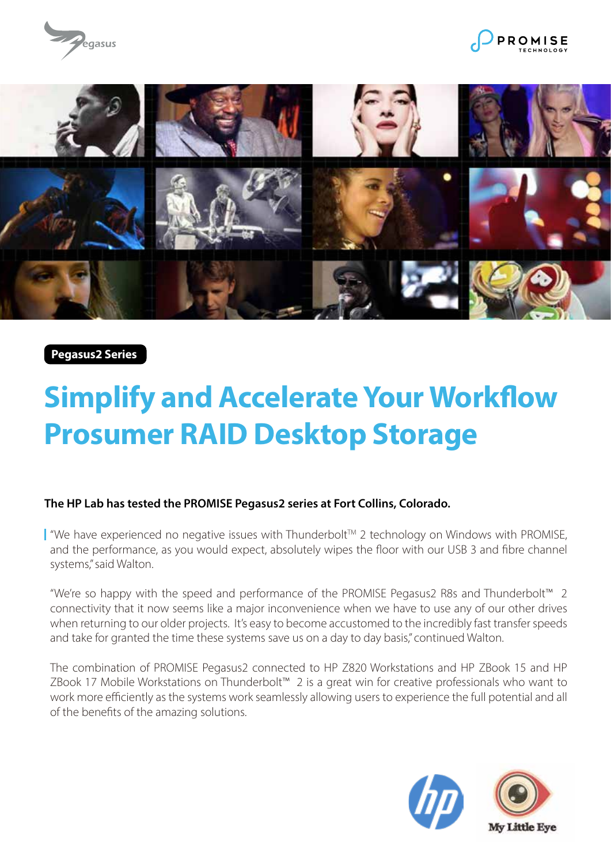





**Pegasus2 Series**

# **Simplify and Accelerate Your Workflow Prosumer RAID Desktop Storage**

# **The HP Lab has tested the PROMISE Pegasus2 series at Fort Collins, Colorado.**

■ "We have experienced no negative issues with Thunderbolt™ 2 technology on Windows with PROMISE, and the performance, as you would expect, absolutely wipes the floor with our USB 3 and fibre channel systems," said Walton.

"We're so happy with the speed and performance of the PROMISE Pegasus2 R8s and Thunderbolt™ 2 connectivity that it now seems like a major inconvenience when we have to use any of our other drives when returning to our older projects. It's easy to become accustomed to the incredibly fast transfer speeds and take for granted the time these systems save us on a day to day basis," continued Walton.

The combination of PROMISE Pegasus2 connected to HP Z820 Workstations and HP ZBook 15 and HP ZBook 17 Mobile Workstations on Thunderbolt™ 2 is a great win for creative professionals who want to work more efficiently as the systems work seamlessly allowing users to experience the full potential and all of the benefits of the amazing solutions.

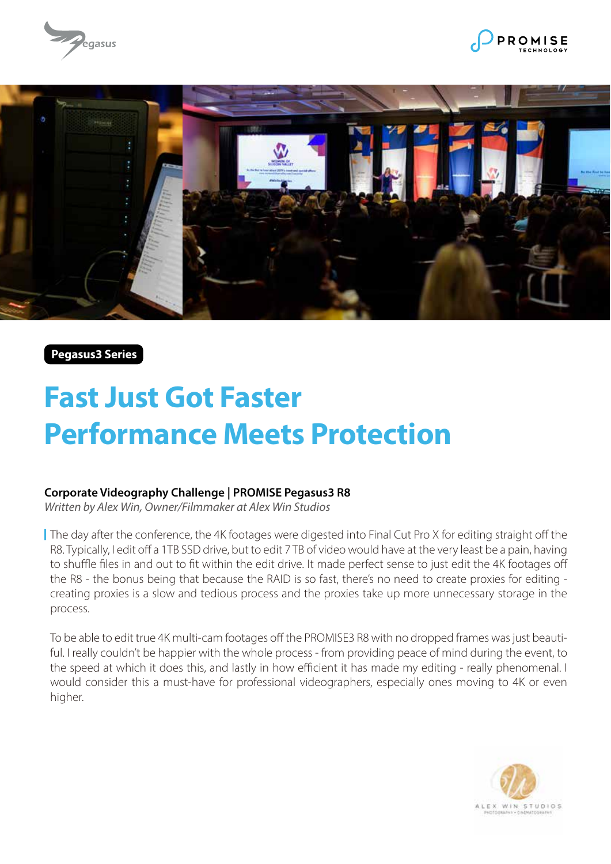





**Pegasus3 Series**

# **Fast Just Got Faster Performance Meets Protection**

### **Corporate Videography Challenge | PROMISE Pegasus3 R8**

*Written by Alex Win, Owner/Filmmaker at Alex Win Studios*

The day after the conference, the 4K footages were digested into Final Cut Pro X for editing straight off the R8. Typically, I edit off a 1TB SSD drive, but to edit 7 TB of video would have at the very least be a pain, having to shuffle files in and out to fit within the edit drive. It made perfect sense to just edit the 4K footages off the R8 - the bonus being that because the RAID is so fast, there's no need to create proxies for editing creating proxies is a slow and tedious process and the proxies take up more unnecessary storage in the process.

To be able to edit true 4K multi-cam footages off the PROMISE3 R8 with no dropped frames was just beautiful. I really couldn't be happier with the whole process - from providing peace of mind during the event, to the speed at which it does this, and lastly in how efficient it has made my editing - really phenomenal. I would consider this a must-have for professional videographers, especially ones moving to 4K or even higher.

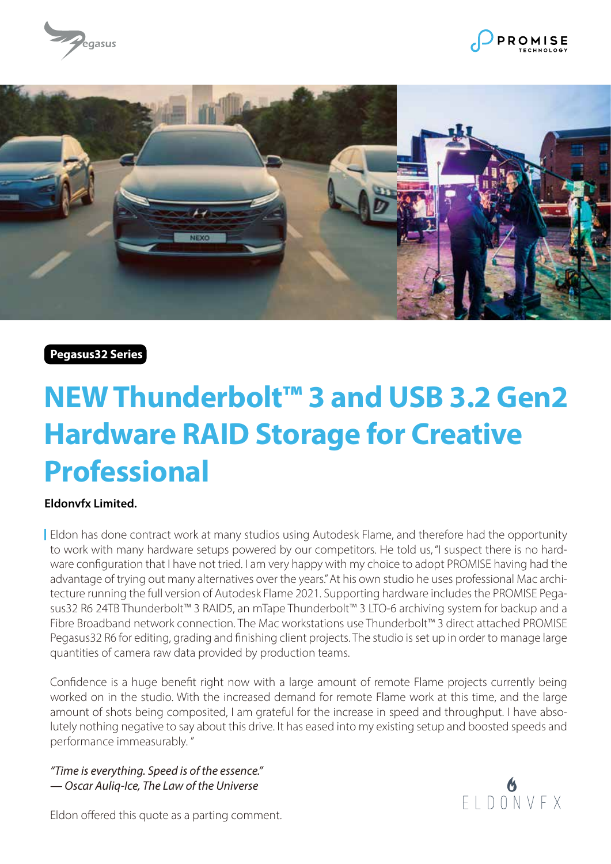





**Pegasus32 Series**

# **NEW Thunderbolt™ 3 and USB 3.2 Gen2 Hardware RAID Storage for Creative Professional**

# **Eldonvfx Limited.**

Eldon has done contract work at many studios using Autodesk Flame, and therefore had the opportunity to work with many hardware setups powered by our competitors. He told us, "I suspect there is no hardware configuration that I have not tried. I am very happy with my choice to adopt PROMISE having had the advantage of trying out many alternatives over the years." At his own studio he uses professional Mac architecture running the full version of Autodesk Flame 2021. Supporting hardware includes the PROMISE Pegasus32 R6 24TB Thunderbolt™ 3 RAID5, an mTape Thunderbolt™ 3 LTO-6 archiving system for backup and a Fibre Broadband network connection. The Mac workstations use Thunderbolt™ 3 direct attached PROMISE Pegasus32 R6 for editing, grading and finishing client projects. The studio is set up in order to manage large quantities of camera raw data provided by production teams.

Confidence is a huge benefit right now with a large amount of remote Flame projects currently being worked on in the studio. With the increased demand for remote Flame work at this time, and the large amount of shots being composited, I am grateful for the increase in speed and throughput. I have absolutely nothing negative to say about this drive. It has eased into my existing setup and boosted speeds and performance immeasurably. "

*"Time is everything. Speed is of the essence." — Oscar Auliq-Ice, The Law of the Universe*



Eldon offered this quote as a parting comment.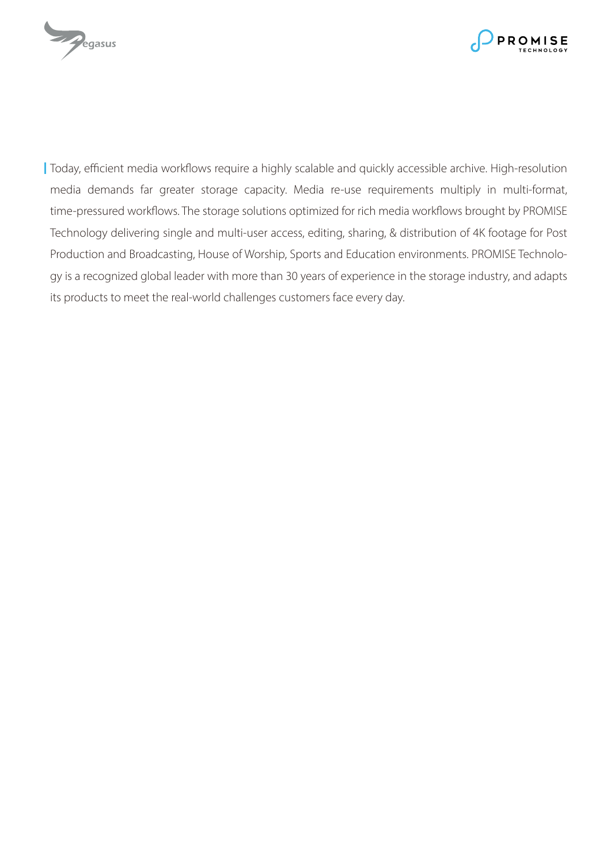



Today, efficient media workflows require a highly scalable and quickly accessible archive. High-resolution media demands far greater storage capacity. Media re-use requirements multiply in multi-format, time-pressured workflows. The storage solutions optimized for rich media workflows brought by PROMISE Technology delivering single and multi-user access, editing, sharing, & distribution of 4K footage for Post Production and Broadcasting, House of Worship, Sports and Education environments. PROMISE Technology is a recognized global leader with more than 30 years of experience in the storage industry, and adapts its products to meet the real-world challenges customers face every day.